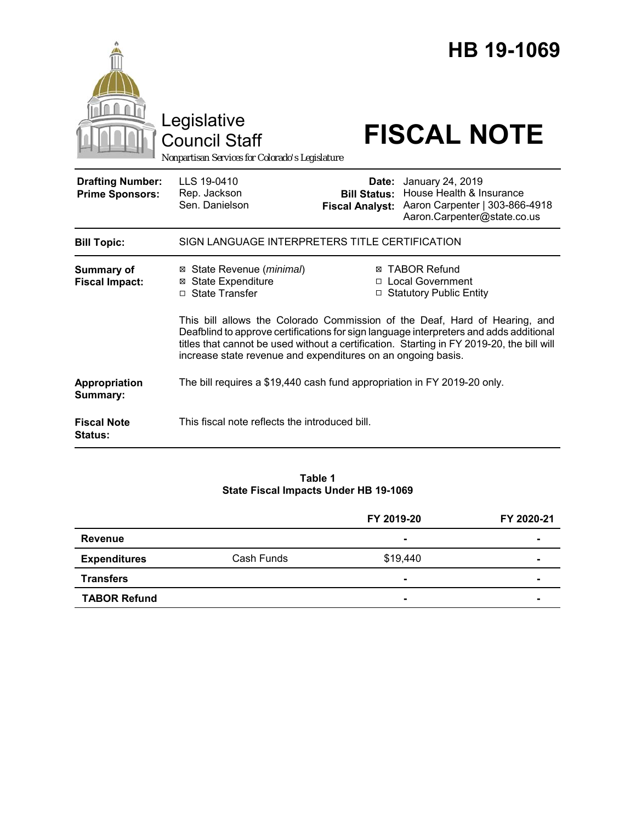|                                                   | Legislative<br><b>Council Staff</b><br>Nonpartisan Services for Colorado's Legislature                                                                                                                                                                                                                                            |                                                                          | HB 19-1069<br><b>FISCAL NOTE</b>                                                                              |  |
|---------------------------------------------------|-----------------------------------------------------------------------------------------------------------------------------------------------------------------------------------------------------------------------------------------------------------------------------------------------------------------------------------|--------------------------------------------------------------------------|---------------------------------------------------------------------------------------------------------------|--|
| <b>Drafting Number:</b><br><b>Prime Sponsors:</b> | LLS 19-0410<br>Rep. Jackson<br>Sen. Danielson                                                                                                                                                                                                                                                                                     | Date:<br><b>Bill Status:</b><br><b>Fiscal Analyst:</b>                   | January 24, 2019<br>House Health & Insurance<br>Aaron Carpenter   303-866-4918<br>Aaron.Carpenter@state.co.us |  |
| <b>Bill Topic:</b>                                | SIGN LANGUAGE INTERPRETERS TITLE CERTIFICATION                                                                                                                                                                                                                                                                                    |                                                                          |                                                                                                               |  |
| Summary of<br><b>Fiscal Impact:</b>               | ⊠ State Revenue (minimal)<br><b>State Expenditure</b><br>⊠<br>□ State Transfer                                                                                                                                                                                                                                                    | <b>⊠ TABOR Refund</b><br>□ Local Government<br>□ Statutory Public Entity |                                                                                                               |  |
|                                                   | This bill allows the Colorado Commission of the Deaf, Hard of Hearing, and<br>Deafblind to approve certifications for sign language interpreters and adds additional<br>titles that cannot be used without a certification. Starting in FY 2019-20, the bill will<br>increase state revenue and expenditures on an ongoing basis. |                                                                          |                                                                                                               |  |
| Appropriation<br>Summary:                         | The bill requires a \$19,440 cash fund appropriation in FY 2019-20 only.                                                                                                                                                                                                                                                          |                                                                          |                                                                                                               |  |
| <b>Fiscal Note</b><br>Status:                     | This fiscal note reflects the introduced bill.                                                                                                                                                                                                                                                                                    |                                                                          |                                                                                                               |  |

#### **Table 1 State Fiscal Impacts Under HB 19-1069**

|                     |            | FY 2019-20     | FY 2020-21 |
|---------------------|------------|----------------|------------|
| Revenue             |            |                |            |
| <b>Expenditures</b> | Cash Funds | \$19,440       | -          |
| <b>Transfers</b>    |            |                |            |
| <b>TABOR Refund</b> |            | $\blacksquare$ |            |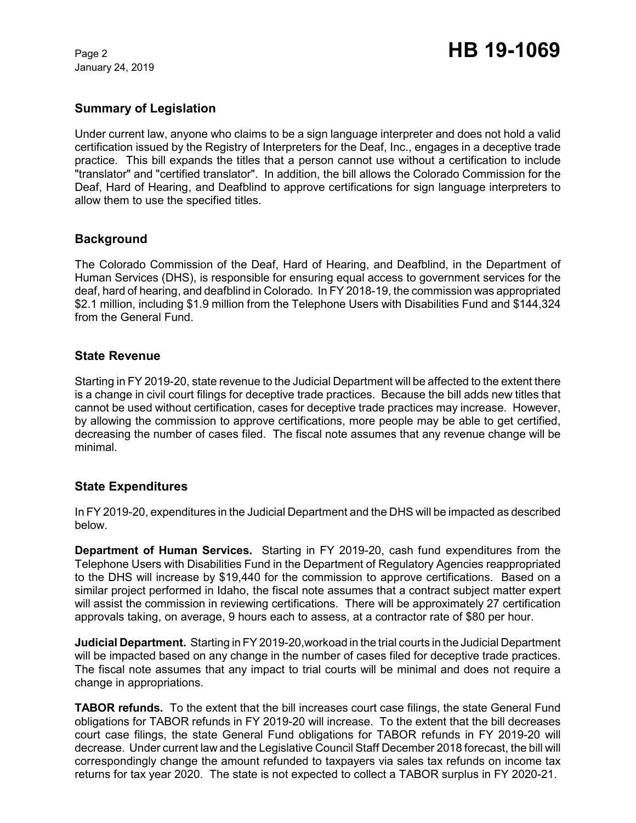January 24, 2019

# **Summary of Legislation**

Under current law, anyone who claims to be a sign language interpreter and does not hold a valid certification issued by the Registry of Interpreters for the Deaf, Inc., engages in a deceptive trade practice. This bill expands the titles that a person cannot use without a certification to include "translator" and "certified translator". In addition, the bill allows the Colorado Commission for the Deaf, Hard of Hearing, and Deafblind to approve certifications for sign language interpreters to allow them to use the specified titles.

# **Background**

The Colorado Commission of the Deaf, Hard of Hearing, and Deafblind, in the Department of Human Services (DHS), is responsible for ensuring equal access to government services for the deaf, hard of hearing, and deafblind in Colorado. In FY 2018-19, the commission was appropriated \$2.1 million, including \$1.9 million from the Telephone Users with Disabilities Fund and \$144,324 from the General Fund.

### **State Revenue**

Starting in FY 2019-20, state revenue to the Judicial Department will be affected to the extent there is a change in civil court filings for deceptive trade practices. Because the bill adds new titles that cannot be used without certification, cases for deceptive trade practices may increase. However, by allowing the commission to approve certifications, more people may be able to get certified, decreasing the number of cases filed. The fiscal note assumes that any revenue change will be minimal.

### **State Expenditures**

In FY 2019-20, expenditures in the Judicial Department and the DHS will be impacted as described below.

**Department of Human Services.** Starting in FY 2019-20, cash fund expenditures from the Telephone Users with Disabilities Fund in the Department of Regulatory Agencies reappropriated to the DHS will increase by \$19,440 for the commission to approve certifications. Based on a similar project performed in Idaho, the fiscal note assumes that a contract subject matter expert will assist the commission in reviewing certifications. There will be approximately 27 certification approvals taking, on average, 9 hours each to assess, at a contractor rate of \$80 per hour.

**Judicial Department.** Starting in FY 2019-20,workoad in the trial courts in the Judicial Department will be impacted based on any change in the number of cases filed for deceptive trade practices. The fiscal note assumes that any impact to trial courts will be minimal and does not require a change in appropriations.

**TABOR refunds.** To the extent that the bill increases court case filings, the state General Fund obligations for TABOR refunds in FY 2019-20 will increase. To the extent that the bill decreases court case filings, the state General Fund obligations for TABOR refunds in FY 2019-20 will decrease. Under current law and the Legislative Council Staff December 2018 forecast, the bill will correspondingly change the amount refunded to taxpayers via sales tax refunds on income tax returns for tax year 2020. The state is not expected to collect a TABOR surplus in FY 2020-21.